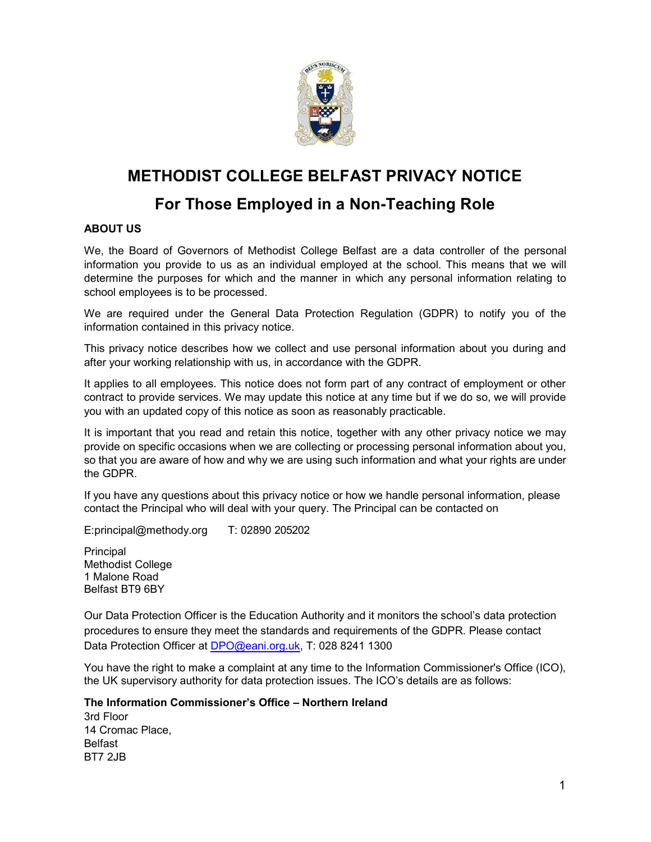

# METHODIST COLLEGE BELFAST PRIVACY NOTICE

# For Those Employed in a Non-Teaching Role

## ABOUT US

We, the Board of Governors of Methodist College Belfast are a data controller of the personal information you provide to us as an individual employed at the school. This means that we will determine the purposes for which and the manner in which any personal information relating to school employees is to be processed.

We are required under the General Data Protection Regulation (GDPR) to notify you of the information contained in this privacy notice.

This privacy notice describes how we collect and use personal information about you during and after your working relationship with us, in accordance with the GDPR.

It applies to all employees. This notice does not form part of any contract of employment or other contract to provide services. We may update this notice at any time but if we do so, we will provide you with an updated copy of this notice as soon as reasonably practicable.

It is important that you read and retain this notice, together with any other privacy notice we may provide on specific occasions when we are collecting or processing personal information about you, so that you are aware of how and why we are using such information and what your rights are under the GDPR.

If you have any questions about this privacy notice or how we handle personal information, please contact the Principal who will deal with your query. The Principal can be contacted on

E:principal@methody.org T: 02890 205202

Principal Methodist College 1 Malone Road Belfast BT9 6BY

Our Data Protection Officer is the Education Authority and it monitors the school's data protection procedures to ensure they meet the standards and requirements of the GDPR. Please contact Data Protection Officer at DPO@eani.org.uk, T: 028 8241 1300

You have the right to make a complaint at any time to the Information Commissioner's Office (ICO), the UK supervisory authority for data protection issues. The ICO's details are as follows:

The Information Commissioner's Office – Northern Ireland

3rd Floor 14 Cromac Place, Belfast BT7 2JB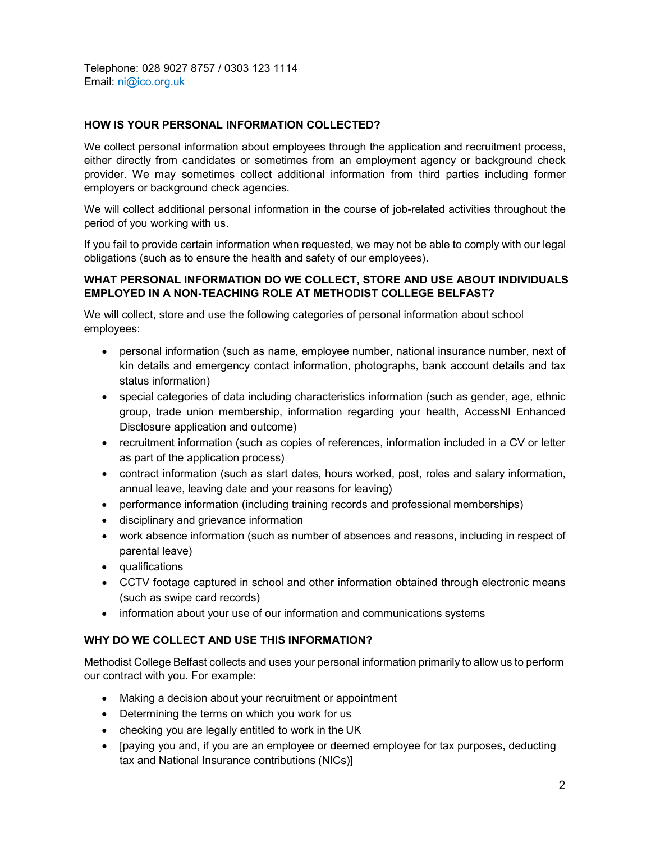Telephone: 028 9027 8757 / 0303 123 1114 Email: ni@ico.org.uk

## HOW IS YOUR PERSONAL INFORMATION COLLECTED?

We collect personal information about employees through the application and recruitment process, either directly from candidates or sometimes from an employment agency or background check provider. We may sometimes collect additional information from third parties including former employers or background check agencies.

We will collect additional personal information in the course of job-related activities throughout the period of you working with us.

If you fail to provide certain information when requested, we may not be able to comply with our legal obligations (such as to ensure the health and safety of our employees).

#### WHAT PERSONAL INFORMATION DO WE COLLECT, STORE AND USE ABOUT INDIVIDUALS EMPLOYED IN A NON-TEACHING ROLE AT METHODIST COLLEGE BELFAST?

We will collect, store and use the following categories of personal information about school employees:

- personal information (such as name, employee number, national insurance number, next of kin details and emergency contact information, photographs, bank account details and tax status information)
- special categories of data including characteristics information (such as gender, age, ethnic group, trade union membership, information regarding your health, AccessNI Enhanced Disclosure application and outcome)
- recruitment information (such as copies of references, information included in a CV or letter as part of the application process)
- contract information (such as start dates, hours worked, post, roles and salary information, annual leave, leaving date and your reasons for leaving)
- performance information (including training records and professional memberships)
- disciplinary and grievance information
- work absence information (such as number of absences and reasons, including in respect of parental leave)
- qualifications
- CCTV footage captured in school and other information obtained through electronic means (such as swipe card records)
- information about your use of our information and communications systems

## WHY DO WE COLLECT AND USE THIS INFORMATION?

Methodist College Belfast collects and uses your personal information primarily to allow us to perform our contract with you. For example:

- Making a decision about your recruitment or appointment
- Determining the terms on which you work for us
- checking you are legally entitled to work in the UK
- [paying you and, if you are an employee or deemed employee for tax purposes, deducting tax and National Insurance contributions (NICs)]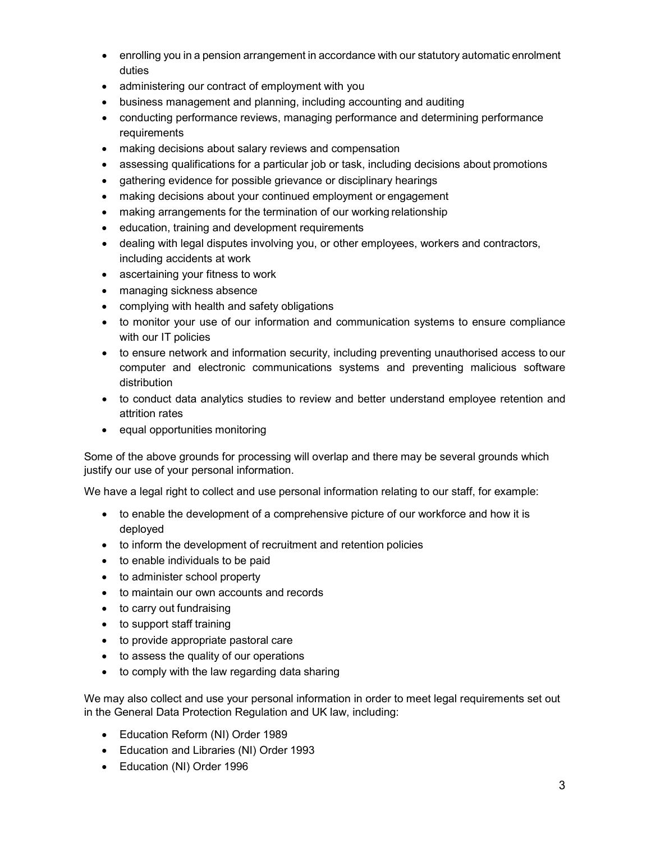- enrolling you in a pension arrangement in accordance with our statutory automatic enrolment duties
- administering our contract of employment with you
- business management and planning, including accounting and auditing
- conducting performance reviews, managing performance and determining performance requirements
- making decisions about salary reviews and compensation
- assessing qualifications for a particular job or task, including decisions about promotions
- gathering evidence for possible grievance or disciplinary hearings
- making decisions about your continued employment or engagement
- making arrangements for the termination of our working relationship
- education, training and development requirements
- dealing with legal disputes involving you, or other employees, workers and contractors, including accidents at work
- ascertaining your fitness to work
- managing sickness absence
- complying with health and safety obligations
- to monitor your use of our information and communication systems to ensure compliance with our IT policies
- to ensure network and information security, including preventing unauthorised access to our computer and electronic communications systems and preventing malicious software distribution
- to conduct data analytics studies to review and better understand employee retention and attrition rates
- equal opportunities monitoring

Some of the above grounds for processing will overlap and there may be several grounds which justify our use of your personal information.

We have a legal right to collect and use personal information relating to our staff, for example:

- to enable the development of a comprehensive picture of our workforce and how it is deployed
- to inform the development of recruitment and retention policies
- to enable individuals to be paid
- to administer school property
- to maintain our own accounts and records
- to carry out fundraising
- to support staff training
- to provide appropriate pastoral care
- to assess the quality of our operations
- to comply with the law regarding data sharing

We may also collect and use your personal information in order to meet legal requirements set out in the General Data Protection Regulation and UK law, including:

- Education Reform (NI) Order 1989
- Education and Libraries (NI) Order 1993
- Education (NI) Order 1996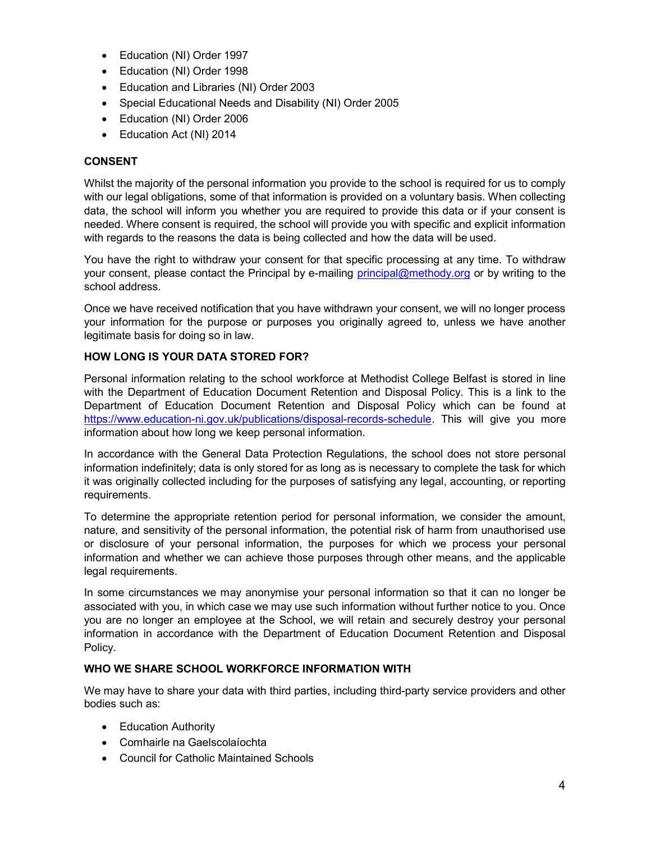- Education (NI) Order 1997
- Education (NI) Order 1998
- Education and Libraries (NI) Order 2003
- Special Educational Needs and Disability (NI) Order 2005
- Education (NI) Order 2006
- Education Act (NI) 2014

## CONSENT

Whilst the majority of the personal information you provide to the school is required for us to comply with our legal obligations, some of that information is provided on a voluntary basis. When collecting data, the school will inform you whether you are required to provide this data or if your consent is needed. Where consent is required, the school will provide you with specific and explicit information with regards to the reasons the data is being collected and how the data will be used.

You have the right to withdraw your consent for that specific processing at any time. To withdraw your consent, please contact the Principal by e-mailing principal@methody.org or by writing to the school address.

Once we have received notification that you have withdrawn your consent, we will no longer process your information for the purpose or purposes you originally agreed to, unless we have another legitimate basis for doing so in law.

## HOW LONG IS YOUR DATA STORED FOR?

Personal information relating to the school workforce at Methodist College Belfast is stored in line with the Department of Education Document Retention and Disposal Policy. This is a link to the Department of Education Document Retention and Disposal Policy which can be found at https://www.education-ni.gov.uk/publications/disposal-records-schedule. This will give you more information about how long we keep personal information.

In accordance with the General Data Protection Regulations, the school does not store personal information indefinitely; data is only stored for as long as is necessary to complete the task for which it was originally collected including for the purposes of satisfying any legal, accounting, or reporting requirements.

To determine the appropriate retention period for personal information, we consider the amount, nature, and sensitivity of the personal information, the potential risk of harm from unauthorised use or disclosure of your personal information, the purposes for which we process your personal information and whether we can achieve those purposes through other means, and the applicable legal requirements.

In some circumstances we may anonymise your personal information so that it can no longer be associated with you, in which case we may use such information without further notice to you. Once you are no longer an employee at the School, we will retain and securely destroy your personal information in accordance with the Department of Education Document Retention and Disposal Policy.

## WHO WE SHARE SCHOOL WORKFORCE INFORMATION WITH

We may have to share your data with third parties, including third-party service providers and other bodies such as:

- Education Authority
- Comhairle na Gaelscolaíochta
- Council for Catholic Maintained Schools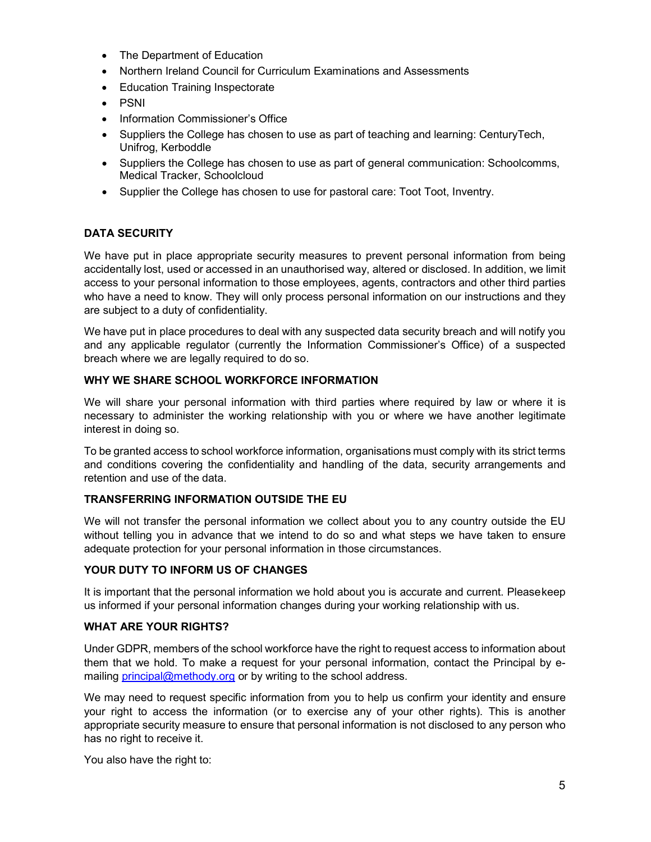- The Department of Education
- Northern Ireland Council for Curriculum Examinations and Assessments
- Education Training Inspectorate
- PSNI
- Information Commissioner's Office
- Suppliers the College has chosen to use as part of teaching and learning: CenturyTech, Unifrog, Kerboddle
- Suppliers the College has chosen to use as part of general communication: Schoolcomms, Medical Tracker, Schoolcloud
- Supplier the College has chosen to use for pastoral care: Toot Toot, Inventry.

## DATA SECURITY

We have put in place appropriate security measures to prevent personal information from being accidentally lost, used or accessed in an unauthorised way, altered or disclosed. In addition, we limit access to your personal information to those employees, agents, contractors and other third parties who have a need to know. They will only process personal information on our instructions and they are subject to a duty of confidentiality.

We have put in place procedures to deal with any suspected data security breach and will notify you and any applicable regulator (currently the Information Commissioner's Office) of a suspected breach where we are legally required to do so.

## WHY WE SHARE SCHOOL WORKFORCE INFORMATION

We will share your personal information with third parties where required by law or where it is necessary to administer the working relationship with you or where we have another legitimate interest in doing so.

To be granted access to school workforce information, organisations must comply with its strict terms and conditions covering the confidentiality and handling of the data, security arrangements and retention and use of the data.

## TRANSFERRING INFORMATION OUTSIDE THE EU

We will not transfer the personal information we collect about you to any country outside the EU without telling you in advance that we intend to do so and what steps we have taken to ensure adequate protection for your personal information in those circumstances.

## YOUR DUTY TO INFORM US OF CHANGES

It is important that the personal information we hold about you is accurate and current. Please keep us informed if your personal information changes during your working relationship with us.

## WHAT ARE YOUR RIGHTS?

Under GDPR, members of the school workforce have the right to request access to information about them that we hold. To make a request for your personal information, contact the Principal by emailing principal@methody.org or by writing to the school address.

We may need to request specific information from you to help us confirm your identity and ensure your right to access the information (or to exercise any of your other rights). This is another appropriate security measure to ensure that personal information is not disclosed to any person who has no right to receive it.

You also have the right to: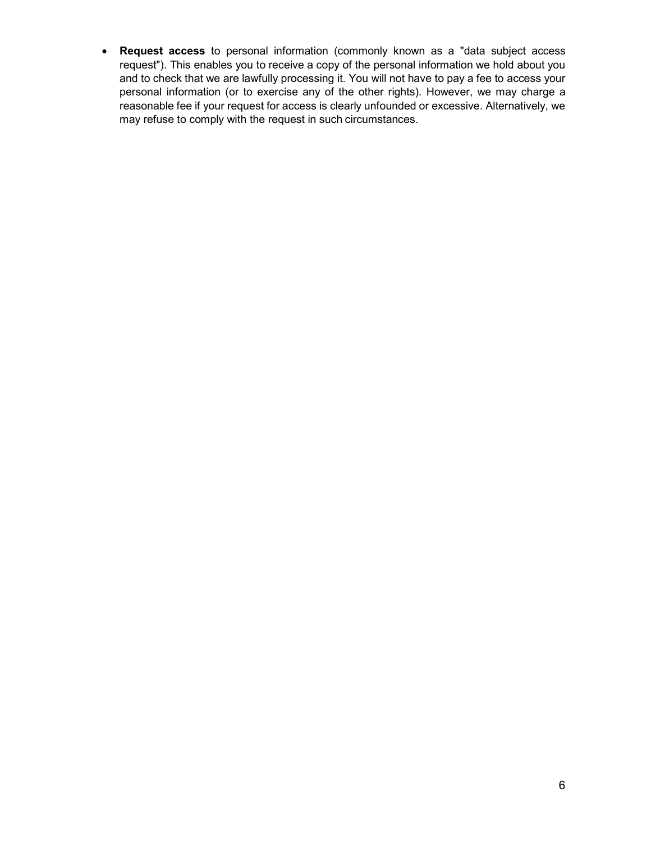Request access to personal information (commonly known as a "data subject access request"). This enables you to receive a copy of the personal information we hold about you and to check that we are lawfully processing it. You will not have to pay a fee to access your personal information (or to exercise any of the other rights). However, we may charge a reasonable fee if your request for access is clearly unfounded or excessive. Alternatively, we may refuse to comply with the request in such circumstances.